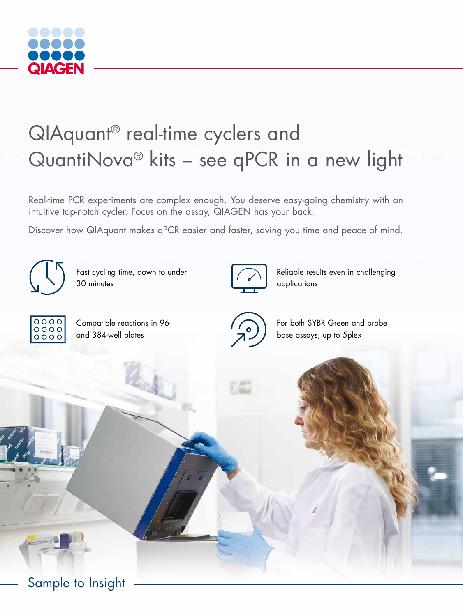

# QIAquant® real-time cyclers and QuantiNova® kits – see qPCR in a new light

Real-time PCR experiments are complex enough. You deserve easy-going chemistry with an intuitive top-notch cycler. Focus on the assay, QIAGEN has your back.

Discover how QIAquant makes qPCR easier and faster, saving you time and peace of mind.



Fast cycling time, down to under 30 minutes



Reliable results even in challenging applications



Compatible reactions in 96 and 384-well plates



For both SYBR Green and probe base assays, up to 5plex

Sample to Insight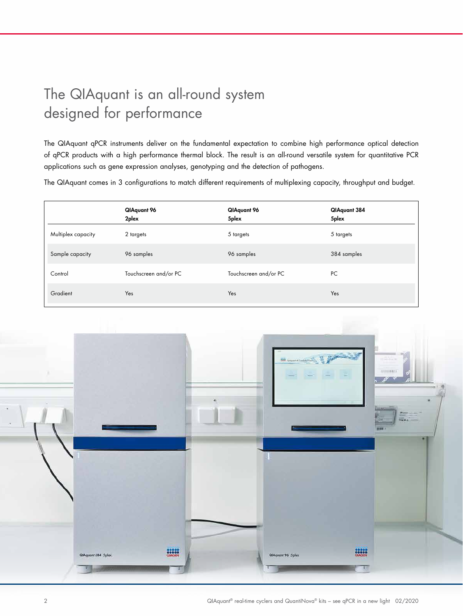## The QIAquant is an all-round system designed for performance

The QIAquant qPCR instruments deliver on the fundamental expectation to combine high performance optical detection of qPCR products with a high performance thermal block. The result is an all-round versatile system for quantitative PCR applications such as gene expression analyses, genotyping and the detection of pathogens.

The QIAquant comes in 3 configurations to match different requirements of multiplexing capacity, throughput and budget.

|                    | QIAquant 96<br>2plex  | QIAquant 96<br>5plex  | QIAquant 384<br>5plex |
|--------------------|-----------------------|-----------------------|-----------------------|
| Multiplex capacity | 2 targets             | 5 targets             | 5 targets             |
| Sample capacity    | 96 samples            | 96 samples            | 384 samples           |
| Control            | Touchscreen and/or PC | Touchscreen and/or PC | PC                    |
| Gradient           | Yes                   | Yes                   | Yes                   |

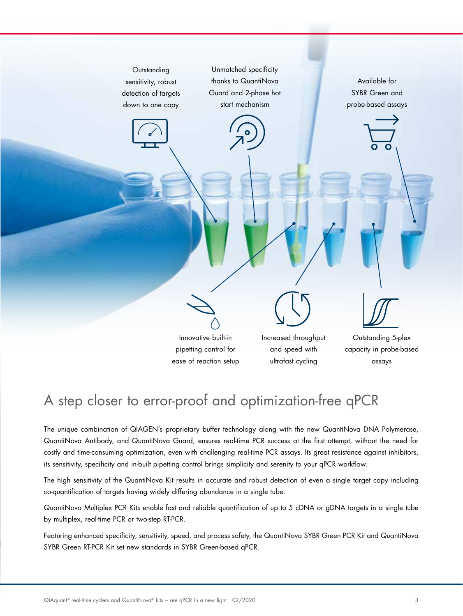

## A step closer to error-proof and optimization-free qPCR

The unique combination of QIAGEN's proprietary buffer technology along with the new QuantiNova DNA Polymerase, QuantiNova Antibody, and QuantiNova Guard, ensures real-time PCR success at the first attempt, without the need for costly and time-consuming optimization, even with challenging real-time PCR assays. Its great resistance against inhibitors, its sensitivity, specificity and in-built pipetting control brings simplicity and serenity to your qPCR workflow.

The high sensitivity of the QuantiNova Kit results in accurate and robust detection of even a single target copy including co-quantification of targets having widely differing abundance in a single tube.

QuantiNova Multiplex PCR Kits enable fast and reliable quantification of up to 5 cDNA or gDNA targets in a single tube by multiplex, real-time PCR or two-step RT-PCR.

Featuring enhanced specificity, sensitivity, speed, and process safety, the QuantiNova SYBR Green PCR Kit and QuantiNova SYBR Green RT-PCR Kit set new standards in SYBR Green-based qPCR.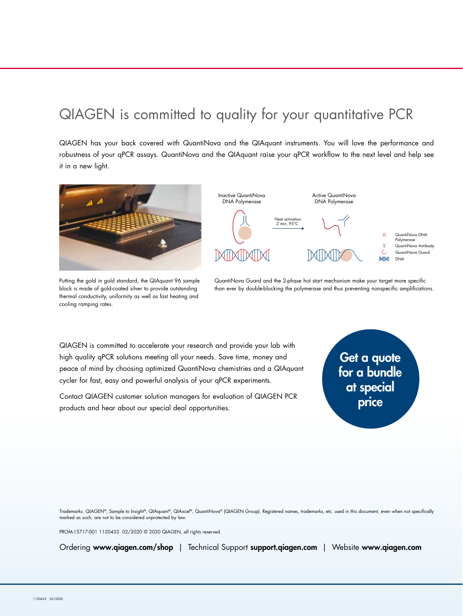#### QIAGEN is committed to quality for your quantitative PCR

QIAGEN has your back covered with QuantiNova and the QIAquant instruments. You will love the performance and robustness of your qPCR assays. QuantiNova and the QIAquant raise your qPCR workflow to the next level and help see it in a new light.

Inactive QuantiNova



Putting the gold in gold standard, the QIAquant 96 sample block is made of gold-coated silver to provide outstanding thermal conductivity, uniformity as well as fast heating and cooling ramping rates.



Active QuantiNova

QuantiNova Guard and the 2-phase hot start mechanism make your target more specific than ever by double-blocking the polymerase and thus preventing nonspecific amplifications.

QIAGEN is committed to accelerate your research and provide your lab with high quality qPCR solutions meeting all your needs. Save time, money and peace of mind by choosing optimized QuantiNova chemistries and a QIAquant cycler for fast, easy and powerful analysis of your qPCR experiments.

Contact QIAGEN customer solution managers for evaluation of QIAGEN PCR products and hear about our special deal opportunities.

# Get a quote for a bundle at special price

Trademarks: QIAGEN®, Sample to Insight®, QIAquant®, QIAxcel®, QuantiNova® (QIAGEN Group). Registered names, trademarks, etc. used in this document, even when not specifically marked as such, are not to be considered unprotected by law.

PROM-15717-001 1120433 02/2020 © 2020 QIAGEN, all rights reserved.

Ordering www.qiagen.com/shop | Technical Support support.qiagen.com | Website www.qiagen.com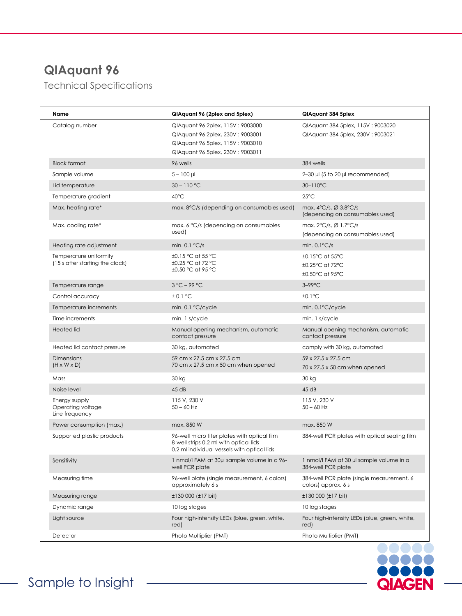#### **QIAquant 96**

Technical Specifications

| Name                                                      | QIAquant 96 (2plex and 5plex)                                                                                                                   | QIAquant 384 5plex                                                             |
|-----------------------------------------------------------|-------------------------------------------------------------------------------------------------------------------------------------------------|--------------------------------------------------------------------------------|
| Catalog number                                            | QIAquant 96 2plex, 115V : 9003000<br>QIAquant 96 2plex, 230V : 9003001<br>QIAquant 96 5plex, 115V : 9003010<br>QIAquant 96 5plex, 230V: 9003011 | QIAquant 384 5plex, 115V: 9003020<br>QIAquant 384 5plex, 230V: 9003021         |
| <b>Block format</b>                                       | 96 wells                                                                                                                                        | 384 wells                                                                      |
| Sample volume                                             | $5 - 100$ µl                                                                                                                                    | $2-30$ µl (5 to 20 µl recommended)                                             |
| Lid temperature                                           | $30 - 110$ °C                                                                                                                                   | 30-110°C                                                                       |
| Temperature gradient                                      | 40°C                                                                                                                                            | $25^{\circ}$ C                                                                 |
| Max. heating rate*                                        | max, 8°C/s (depending on consumables used)                                                                                                      | max. $4^{\circ}C/s$ , $\varnothing$ 3.8°C/s<br>(depending on consumables used) |
| Max. cooling rate*                                        | max. 6 °C/s (depending on consumables                                                                                                           | max. $2^{\circ}C/s$ , $\varnothing$ 1.7°C/s                                    |
|                                                           | used)                                                                                                                                           | (depending on consumables used)                                                |
| Heating rate adjustment                                   | min. $0.1 \text{ °C/s}$                                                                                                                         | min. $0.1^{\circ}C/s$                                                          |
| Temperature uniformity<br>(15 s after starting the clock) | ±0.15 °C at 55 °C<br>±0.25 °C at 72 °C<br>±0.50 °C at 95 °C                                                                                     | $\pm 0.15^{\circ}$ C at 55 $^{\circ}$ C<br>±0.25°C at 72°C<br>±0.50°C at 95°C  |
| Temperature range                                         | $3^{\circ}$ C – 99 °C                                                                                                                           | $3-99$ °C                                                                      |
| Control accuracy                                          | ± 0.1 °C                                                                                                                                        | $±0.1$ °C                                                                      |
| Temperature increments                                    | min. 0.1 °C/cycle                                                                                                                               | min. 0.1°C/cycle                                                               |
| Time increments                                           | min. 1 s/cycle                                                                                                                                  | min. 1 s/cycle                                                                 |
| <b>Heated lid</b>                                         | Manual opening mechanism, automatic<br>contact pressure                                                                                         | Manual opening mechanism, automatic<br>contact pressure                        |
| Heated lid contact pressure                               | 30 kg, automated                                                                                                                                | comply with 30 kg, automated                                                   |
| <b>Dimensions</b><br>$(H \times W \times D)$              | 59 cm x 27.5 cm x 27.5 cm<br>70 cm x 27.5 cm x 50 cm when opened                                                                                | 59 x 27.5 x 27.5 cm<br>70 x 27.5 x 50 cm when opened                           |
| Mass                                                      | 30 kg                                                                                                                                           | 30 kg                                                                          |
| Noise level                                               | 45 dB                                                                                                                                           | 45dB                                                                           |
| Energy supply<br>Operating voltage<br>Line frequency      | 115 V, 230 V<br>$50 - 60$ Hz                                                                                                                    | 115 V, 230 V<br>$50 - 60$ Hz                                                   |
| Power consumption (max.)                                  | max. 850 W                                                                                                                                      | max. 850 W                                                                     |
| Supported plastic products                                | 96-well micro titer plates with optical film<br>8-well strips 0.2 ml with optical lids<br>0.2 ml individual vessels with optical lids           | 384-well PCR plates with optical sealing film                                  |
| Sensitivity                                               | 1 nmol/l FAM at 30ul sample volume in a 96-<br>well PCR plate                                                                                   | 1 nmol/l FAM at 30 µl sample volume in a<br>384-well PCR plate                 |
| Measuring time                                            | 96-well plate (single measurement, 6 colors)<br>approximately 6 s                                                                               | 384-well PCR plate (single measurement, 6<br>colors) approx. 6 s               |
| Measuring range                                           | $±130000$ ( $±17$ bit)                                                                                                                          | $±130000$ ( $±17$ bit)                                                         |
| Dynamic range                                             | 10 log stages                                                                                                                                   | 10 log stages                                                                  |
| Light source                                              | Four high-intensity LEDs (blue, green, white,<br>red)                                                                                           | Four high-intensity LEDs (blue, green, white,<br>red)                          |
| Detector                                                  | Photo Multiplier (PMT)                                                                                                                          | Photo Multiplier (PMT)                                                         |